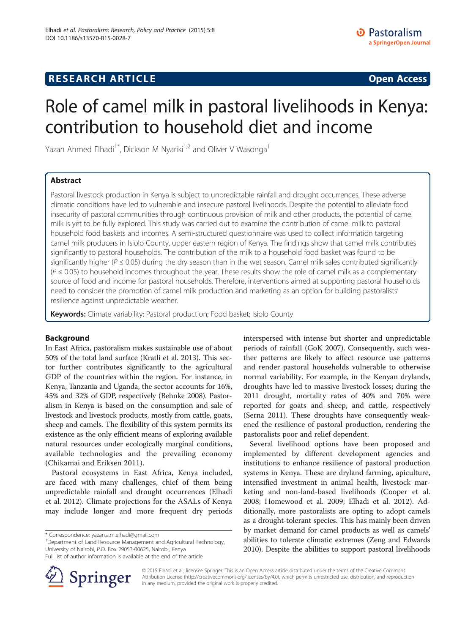# **RESEARCH ARTICLE Example 2014 CONSUMING A RESEARCH ARTICLE**

# Role of camel milk in pastoral livelihoods in Kenya: contribution to household diet and income

Yazan Ahmed Elhadi<sup>1\*</sup>, Dickson M Nyariki<sup>1,2</sup> and Oliver V Wasonga<sup>1</sup>

# Abstract

Pastoral livestock production in Kenya is subject to unpredictable rainfall and drought occurrences. These adverse climatic conditions have led to vulnerable and insecure pastoral livelihoods. Despite the potential to alleviate food insecurity of pastoral communities through continuous provision of milk and other products, the potential of camel milk is yet to be fully explored. This study was carried out to examine the contribution of camel milk to pastoral household food baskets and incomes. A semi-structured questionnaire was used to collect information targeting camel milk producers in Isiolo County, upper eastern region of Kenya. The findings show that camel milk contributes significantly to pastoral households. The contribution of the milk to a household food basket was found to be significantly higher ( $P \le 0.05$ ) during the dry season than in the wet season. Camel milk sales contributed significantly  $(P \le 0.05)$  to household incomes throughout the year. These results show the role of camel milk as a complementary source of food and income for pastoral households. Therefore, interventions aimed at supporting pastoral households need to consider the promotion of camel milk production and marketing as an option for building pastoralists' resilience against unpredictable weather.

Keywords: Climate variability; Pastoral production; Food basket; Isiolo County

## Background

In East Africa, pastoralism makes sustainable use of about 50% of the total land surface (Kratli et al. [2013\)](#page-7-0). This sector further contributes significantly to the agricultural GDP of the countries within the region. For instance, in Kenya, Tanzania and Uganda, the sector accounts for 16%, 45% and 32% of GDP, respectively (Behnke [2008\)](#page-7-0). Pastoralism in Kenya is based on the consumption and sale of livestock and livestock products, mostly from cattle, goats, sheep and camels. The flexibility of this system permits its existence as the only efficient means of exploring available natural resources under ecologically marginal conditions, available technologies and the prevailing economy (Chikamai and Eriksen [2011](#page-7-0)).

Pastoral ecosystems in East Africa, Kenya included, are faced with many challenges, chief of them being unpredictable rainfall and drought occurrences (Elhadi et al. [2012](#page-7-0)). Climate projections for the ASALs of Kenya may include longer and more frequent dry periods

\* Correspondence: [yazan.a.m.elhadi@gmail.com](mailto:yazan.a.m.elhadi@gmail.com) <sup>1</sup>

<sup>1</sup>Department of Land Resource Management and Agricultural Technology, University of Nairobi, P.O. Box 29053-00625, Nairobi, Kenya Full list of author information is available at the end of the article

interspersed with intense but shorter and unpredictable periods of rainfall (GoK [2007\)](#page-7-0). Consequently, such weather patterns are likely to affect resource use patterns and render pastoral households vulnerable to otherwise normal variability. For example, in the Kenyan drylands, droughts have led to massive livestock losses; during the 2011 drought, mortality rates of 40% and 70% were reported for goats and sheep, and cattle, respectively (Serna [2011\)](#page-7-0). These droughts have consequently weakened the resilience of pastoral production, rendering the pastoralists poor and relief dependent.

Several livelihood options have been proposed and implemented by different development agencies and institutions to enhance resilience of pastoral production systems in Kenya. These are dryland farming, apiculture, intensified investment in animal health, livestock marketing and non-land-based livelihoods (Cooper et al. [2008](#page-7-0); Homewood et al. [2009;](#page-7-0) Elhadi et al. [2012\)](#page-7-0). Additionally, more pastoralists are opting to adopt camels as a drought-tolerant species. This has mainly been driven by market demand for camel products as well as camels' abilities to tolerate climatic extremes (Zeng and Edwards [2010\)](#page-7-0). Despite the abilities to support pastoral livelihoods



© 2015 Elhadi et al.; licensee Springer. This is an Open Access article distributed under the terms of the Creative Commons Attribution License [\(http://creativecommons.org/licenses/by/4.0\)](http://creativecommons.org/licenses/by/4.0), which permits unrestricted use, distribution, and reproduction in any medium, provided the original work is properly credited.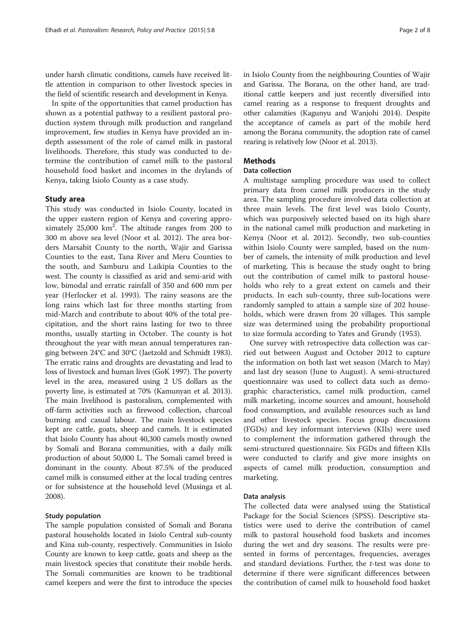under harsh climatic conditions, camels have received little attention in comparison to other livestock species in the field of scientific research and development in Kenya.

In spite of the opportunities that camel production has shown as a potential pathway to a resilient pastoral production system through milk production and rangeland improvement, few studies in Kenya have provided an indepth assessment of the role of camel milk in pastoral livelihoods. Therefore, this study was conducted to determine the contribution of camel milk to the pastoral household food basket and incomes in the drylands of Kenya, taking Isiolo County as a case study.

#### Study area

This study was conducted in Isiolo County, located in the upper eastern region of Kenya and covering approximately  $25,000$  km<sup>2</sup>. The altitude ranges from  $200$  to 300 m above sea level (Noor et al. [2012](#page-7-0)). The area borders Marsabit County to the north, Wajir and Garissa Counties to the east, Tana River and Meru Counties to the south, and Samburu and Laikipia Counties to the west. The county is classified as arid and semi-arid with low, bimodal and erratic rainfall of 350 and 600 mm per year (Herlocker et al. [1993\)](#page-7-0). The rainy seasons are the long rains which last for three months starting from mid-March and contribute to about 40% of the total precipitation, and the short rains lasting for two to three months, usually starting in October. The county is hot throughout the year with mean annual temperatures ranging between 24°C and 30°C (Jaetzold and Schmidt [1983](#page-7-0)). The erratic rains and droughts are devastating and lead to loss of livestock and human lives (GoK [1997](#page-7-0)). The poverty level in the area, measured using 2 US dollars as the poverty line, is estimated at 70% (Kamunyan et al. [2013](#page-7-0)). The main livelihood is pastoralism, complemented with off-farm activities such as firewood collection, charcoal burning and casual labour. The main livestock species kept are cattle, goats, sheep and camels. It is estimated that Isiolo County has about 40,300 camels mostly owned by Somali and Borana communities, with a daily milk production of about 50,000 L. The Somali camel breed is dominant in the county. About 87.5% of the produced camel milk is consumed either at the local trading centres or for subsistence at the household level (Musinga et al. [2008\)](#page-7-0).

## Study population

The sample population consisted of Somali and Borana pastoral households located in Isiolo Central sub-county and Kina sub-county, respectively. Communities in Isiolo County are known to keep cattle, goats and sheep as the main livestock species that constitute their mobile herds. The Somali communities are known to be traditional camel keepers and were the first to introduce the species in Isiolo County from the neighbouring Counties of Wajir and Garissa. The Borana, on the other hand, are traditional cattle keepers and just recently diversified into camel rearing as a response to frequent droughts and other calamities (Kagunyu and Wanjohi [2014](#page-7-0)). Despite the acceptance of camels as part of the mobile herd among the Borana community, the adoption rate of camel rearing is relatively low (Noor et al. [2013](#page-7-0)).

# **Methods**

### Data collection

A multistage sampling procedure was used to collect primary data from camel milk producers in the study area. The sampling procedure involved data collection at three main levels. The first level was Isiolo County, which was purposively selected based on its high share in the national camel milk production and marketing in Kenya (Noor et al. [2012\)](#page-7-0). Secondly, two sub-counties within Isiolo County were sampled, based on the number of camels, the intensity of milk production and level of marketing. This is because the study ought to bring out the contribution of camel milk to pastoral households who rely to a great extent on camels and their products. In each sub-county, three sub-locations were randomly sampled to attain a sample size of 202 households, which were drawn from 20 villages. This sample size was determined using the probability proportional to size formula according to Yates and Grundy [\(1953](#page-7-0)).

One survey with retrospective data collection was carried out between August and October 2012 to capture the information on both last wet season (March to May) and last dry season (June to August). A semi-structured questionnaire was used to collect data such as demographic characteristics, camel milk production, camel milk marketing, income sources and amount, household food consumption, and available resources such as land and other livestock species. Focus group discussions (FGDs) and key informant interviews (KIIs) were used to complement the information gathered through the semi-structured questionnaire. Six FGDs and fifteen KIIs were conducted to clarify and give more insights on aspects of camel milk production, consumption and marketing.

#### Data analysis

The collected data were analysed using the Statistical Package for the Social Sciences (SPSS). Descriptive statistics were used to derive the contribution of camel milk to pastoral household food baskets and incomes during the wet and dry seasons. The results were presented in forms of percentages, frequencies, averages and standard deviations. Further, the t-test was done to determine if there were significant differences between the contribution of camel milk to household food basket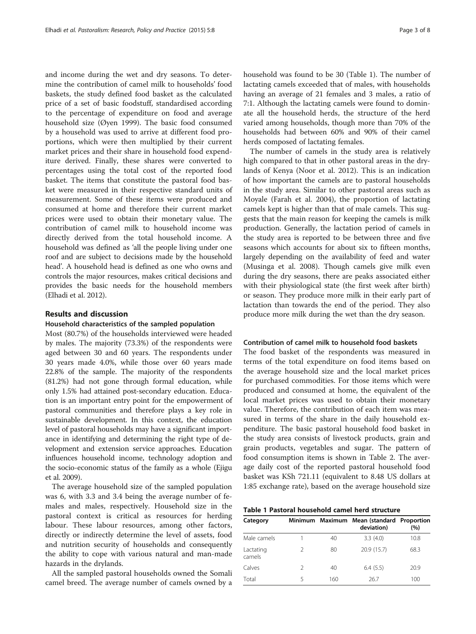and income during the wet and dry seasons. To determine the contribution of camel milk to households' food baskets, the study defined food basket as the calculated price of a set of basic foodstuff, standardised according to the percentage of expenditure on food and average household size (Øyen [1999](#page-7-0)). The basic food consumed by a household was used to arrive at different food proportions, which were then multiplied by their current market prices and their share in household food expenditure derived. Finally, these shares were converted to percentages using the total cost of the reported food basket. The items that constitute the pastoral food basket were measured in their respective standard units of measurement. Some of these items were produced and consumed at home and therefore their current market prices were used to obtain their monetary value. The contribution of camel milk to household income was directly derived from the total household income. A household was defined as 'all the people living under one roof and are subject to decisions made by the household head'. A household head is defined as one who owns and controls the major resources, makes critical decisions and provides the basic needs for the household members (Elhadi et al. [2012](#page-7-0)).

## Results and discussion

## Household characteristics of the sampled population

Most (80.7%) of the households interviewed were headed by males. The majority (73.3%) of the respondents were aged between 30 and 60 years. The respondents under 30 years made 4.0%, while those over 60 years made 22.8% of the sample. The majority of the respondents (81.2%) had not gone through formal education, while only 1.5% had attained post-secondary education. Education is an important entry point for the empowerment of pastoral communities and therefore plays a key role in sustainable development. In this context, the education level of pastoral households may have a significant importance in identifying and determining the right type of development and extension service approaches. Education influences household income, technology adoption and the socio-economic status of the family as a whole (Ejigu et al. [2009](#page-7-0)).

The average household size of the sampled population was 6, with 3.3 and 3.4 being the average number of females and males, respectively. Household size in the pastoral context is critical as resources for herding labour. These labour resources, among other factors, directly or indirectly determine the level of assets, food and nutrition security of households and consequently the ability to cope with various natural and man-made hazards in the drylands.

All the sampled pastoral households owned the Somali camel breed. The average number of camels owned by a household was found to be 30 (Table 1). The number of lactating camels exceeded that of males, with households having an average of 21 females and 3 males, a ratio of 7:1. Although the lactating camels were found to dominate all the household herds, the structure of the herd varied among households, though more than 70% of the households had between 60% and 90% of their camel herds composed of lactating females.

The number of camels in the study area is relatively high compared to that in other pastoral areas in the drylands of Kenya (Noor et al. [2012\)](#page-7-0). This is an indication of how important the camels are to pastoral households in the study area. Similar to other pastoral areas such as Moyale (Farah et al. [2004](#page-7-0)), the proportion of lactating camels kept is higher than that of male camels. This suggests that the main reason for keeping the camels is milk production. Generally, the lactation period of camels in the study area is reported to be between three and five seasons which accounts for about six to fifteen months, largely depending on the availability of feed and water (Musinga et al. [2008\)](#page-7-0). Though camels give milk even during the dry seasons, there are peaks associated either with their physiological state (the first week after birth) or season. They produce more milk in their early part of lactation than towards the end of the period. They also produce more milk during the wet than the dry season.

#### Contribution of camel milk to household food baskets

The food basket of the respondents was measured in terms of the total expenditure on food items based on the average household size and the local market prices for purchased commodities. For those items which were produced and consumed at home, the equivalent of the local market prices was used to obtain their monetary value. Therefore, the contribution of each item was measured in terms of the share in the daily household expenditure. The basic pastoral household food basket in the study area consists of livestock products, grain and grain products, vegetables and sugar. The pattern of food consumption items is shown in Table [2.](#page-3-0) The average daily cost of the reported pastoral household food basket was KSh 721.11 (equivalent to 8.48 US dollars at 1:85 exchange rate), based on the average household size

| Table 1 Pastoral household camel herd structure |  |  |  |  |  |  |  |
|-------------------------------------------------|--|--|--|--|--|--|--|
|-------------------------------------------------|--|--|--|--|--|--|--|

| Category            |               |     | Minimum Maximum Mean (standard Proportion<br>deviation) | (%)  |
|---------------------|---------------|-----|---------------------------------------------------------|------|
| Male camels         |               | 40  | 3.3(4.0)                                                | 10.8 |
| Lactating<br>camels | 2             | 80  | 20.9 (15.7)                                             | 68.3 |
| Calves              | $\mathcal{P}$ | 40  | 6.4(5.5)                                                | 20.9 |
| Total               | 5             | 160 | 26.7                                                    | 100  |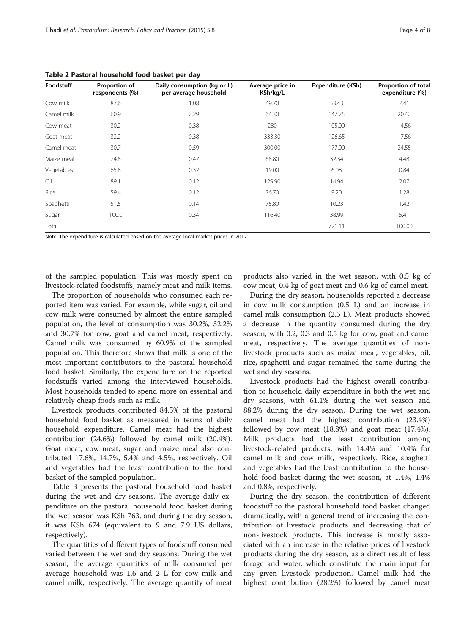| Foodstuff  | Proportion of<br>respondents (%) | Daily consumption (kg or L)<br>per average household | Average price in<br>KSh/kg/L | Expenditure (KSh) | Proportion of total<br>expenditure (%) |
|------------|----------------------------------|------------------------------------------------------|------------------------------|-------------------|----------------------------------------|
| Cow milk   | 87.6                             | 1.08                                                 | 49.70                        | 53.43             | 7.41                                   |
| Camel milk | 60.9                             | 2.29                                                 | 64.30                        | 147.25            | 20.42                                  |
| Cow meat   | 30.2                             | 0.38                                                 | 280                          | 105.00            | 14.56                                  |
| Goat meat  | 32.2                             | 0.38                                                 | 333.30                       | 126.65            | 17.56                                  |
| Camel meat | 30.7                             | 0.59                                                 | 300.00                       | 177.00            | 24.55                                  |
| Maize meal | 74.8                             | 0.47                                                 | 68.80                        | 32.34             | 4.48                                   |
| Vegetables | 65.8                             | 0.32                                                 | 19.00                        | 6.08              | 0.84                                   |
| Oil        | 89.1                             | 0.12                                                 | 129.90                       | 14.94             | 2.07                                   |
| Rice       | 59.4                             | 0.12                                                 | 76.70                        | 9.20              | 1.28                                   |
| Spaghetti  | 51.5                             | 0.14                                                 | 75.80                        | 10.23             | 1.42                                   |
| Sugar      | 100.0                            | 0.34                                                 | 116.40                       | 38.99             | 5.41                                   |
| Total      |                                  |                                                      |                              | 721.11            | 100.00                                 |

<span id="page-3-0"></span>Table 2 Pastoral household food basket per day

Note: The expenditure is calculated based on the average local market prices in 2012.

of the sampled population. This was mostly spent on livestock-related foodstuffs, namely meat and milk items.

The proportion of households who consumed each reported item was varied. For example, while sugar, oil and cow milk were consumed by almost the entire sampled population, the level of consumption was 30.2%, 32.2% and 30.7% for cow, goat and camel meat, respectively. Camel milk was consumed by 60.9% of the sampled population. This therefore shows that milk is one of the most important contributors to the pastoral household food basket. Similarly, the expenditure on the reported foodstuffs varied among the interviewed households. Most households tended to spend more on essential and relatively cheap foods such as milk.

Livestock products contributed 84.5% of the pastoral household food basket as measured in terms of daily household expenditure. Camel meat had the highest contribution (24.6%) followed by camel milk (20.4%). Goat meat, cow meat, sugar and maize meal also contributed 17.6%, 14.7%, 5.4% and 4.5%, respectively. Oil and vegetables had the least contribution to the food basket of the sampled population.

Table [3](#page-4-0) presents the pastoral household food basket during the wet and dry seasons. The average daily expenditure on the pastoral household food basket during the wet season was KSh 763, and during the dry season, it was KSh 674 (equivalent to 9 and 7.9 US dollars, respectively).

The quantities of different types of foodstuff consumed varied between the wet and dry seasons. During the wet season, the average quantities of milk consumed per average household was 1.6 and 2 L for cow milk and camel milk, respectively. The average quantity of meat

products also varied in the wet season, with 0.5 kg of cow meat, 0.4 kg of goat meat and 0.6 kg of camel meat.

During the dry season, households reported a decrease in cow milk consumption (0.5 L) and an increase in camel milk consumption (2.5 L). Meat products showed a decrease in the quantity consumed during the dry season, with 0.2, 0.3 and 0.5 kg for cow, goat and camel meat, respectively. The average quantities of nonlivestock products such as maize meal, vegetables, oil, rice, spaghetti and sugar remained the same during the wet and dry seasons.

Livestock products had the highest overall contribution to household daily expenditure in both the wet and dry seasons, with 61.1% during the wet season and 88.2% during the dry season. During the wet season, camel meat had the highest contribution (23.4%) followed by cow meat (18.8%) and goat meat (17.4%). Milk products had the least contribution among livestock-related products, with 14.4% and 10.4% for camel milk and cow milk, respectively. Rice, spaghetti and vegetables had the least contribution to the household food basket during the wet season, at 1.4%, 1.4% and 0.8%, respectively.

During the dry season, the contribution of different foodstuff to the pastoral household food basket changed dramatically, with a general trend of increasing the contribution of livestock products and decreasing that of non-livestock products. This increase is mostly associated with an increase in the relative prices of livestock products during the dry season, as a direct result of less forage and water, which constitute the main input for any given livestock production. Camel milk had the highest contribution (28.2%) followed by camel meat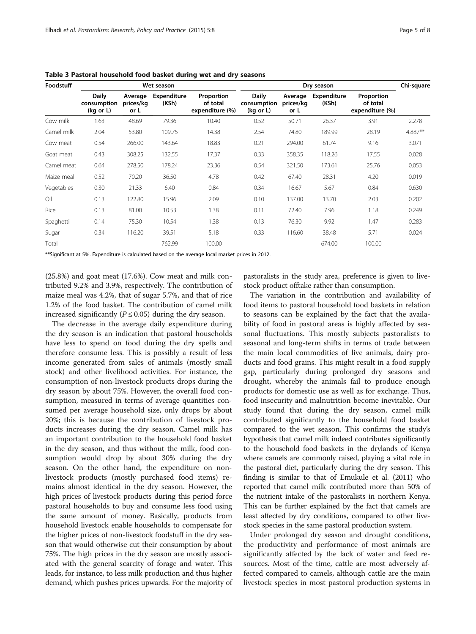| Foodstuff  |                                          |                              | Wet season                  |                                           | Dry season                               |                              |                      |                                           | Chi-square |
|------------|------------------------------------------|------------------------------|-----------------------------|-------------------------------------------|------------------------------------------|------------------------------|----------------------|-------------------------------------------|------------|
|            | <b>Daily</b><br>consumption<br>(kg or L) | Average<br>prices/kg<br>or L | <b>Expenditure</b><br>(KSh) | Proportion<br>of total<br>expenditure (%) | <b>Daily</b><br>consumption<br>(kg or L) | Average<br>prices/kg<br>or L | Expenditure<br>(KSh) | Proportion<br>of total<br>expenditure (%) |            |
| Cow milk   | 1.63                                     | 48.69                        | 79.36                       | 10.40                                     | 0.52                                     | 50.71                        | 26.37                | 3.91                                      | 2.278      |
| Camel milk | 2.04                                     | 53.80                        | 109.75                      | 14.38                                     | 2.54                                     | 74.80                        | 189.99               | 28.19                                     | 4.887**    |
| Cow meat   | 0.54                                     | 266.00                       | 143.64                      | 18.83                                     | 0.21                                     | 294.00                       | 61.74                | 9.16                                      | 3.071      |
| Goat meat  | 0.43                                     | 308.25                       | 132.55                      | 17.37                                     | 0.33                                     | 358.35                       | 118.26               | 17.55                                     | 0.028      |
| Camel meat | 0.64                                     | 278.50                       | 178.24                      | 23.36                                     | 0.54                                     | 321.50                       | 173.61               | 25.76                                     | 0.053      |
| Maize meal | 0.52                                     | 70.20                        | 36.50                       | 4.78                                      | 0.42                                     | 67.40                        | 28.31                | 4.20                                      | 0.019      |
| Vegetables | 0.30                                     | 21.33                        | 6.40                        | 0.84                                      | 0.34                                     | 16.67                        | 5.67                 | 0.84                                      | 0.630      |
| Oil        | 0.13                                     | 122.80                       | 15.96                       | 2.09                                      | 0.10                                     | 137.00                       | 13.70                | 2.03                                      | 0.202      |
| Rice       | 0.13                                     | 81.00                        | 10.53                       | 1.38                                      | 0.11                                     | 72.40                        | 7.96                 | 1.18                                      | 0.249      |
| Spaghetti  | 0.14                                     | 75.30                        | 10.54                       | 1.38                                      | 0.13                                     | 76.30                        | 9.92                 | 1.47                                      | 0.283      |
| Sugar      | 0.34                                     | 116.20                       | 39.51                       | 5.18                                      | 0.33                                     | 116.60                       | 38.48                | 5.71                                      | 0.024      |
| Total      |                                          |                              | 762.99                      | 100.00                                    |                                          |                              | 674.00               | 100.00                                    |            |

<span id="page-4-0"></span>Table 3 Pastoral household food basket during wet and dry seasons

\*\*Significant at 5%. Expenditure is calculated based on the average local market prices in 2012.

(25.8%) and goat meat (17.6%). Cow meat and milk contributed 9.2% and 3.9%, respectively. The contribution of maize meal was 4.2%, that of sugar 5.7%, and that of rice 1.2% of the food basket. The contribution of camel milk increased significantly ( $P \le 0.05$ ) during the dry season.

The decrease in the average daily expenditure during the dry season is an indication that pastoral households have less to spend on food during the dry spells and therefore consume less. This is possibly a result of less income generated from sales of animals (mostly small stock) and other livelihood activities. For instance, the consumption of non-livestock products drops during the dry season by about 75%. However, the overall food consumption, measured in terms of average quantities consumed per average household size, only drops by about 20%; this is because the contribution of livestock products increases during the dry season. Camel milk has an important contribution to the household food basket in the dry season, and thus without the milk, food consumption would drop by about 30% during the dry season. On the other hand, the expenditure on nonlivestock products (mostly purchased food items) remains almost identical in the dry season. However, the high prices of livestock products during this period force pastoral households to buy and consume less food using the same amount of money. Basically, products from household livestock enable households to compensate for the higher prices of non-livestock foodstuff in the dry season that would otherwise cut their consumption by about 75%. The high prices in the dry season are mostly associated with the general scarcity of forage and water. This leads, for instance, to less milk production and thus higher demand, which pushes prices upwards. For the majority of

pastoralists in the study area, preference is given to livestock product offtake rather than consumption.

The variation in the contribution and availability of food items to pastoral household food baskets in relation to seasons can be explained by the fact that the availability of food in pastoral areas is highly affected by seasonal fluctuations. This mostly subjects pastoralists to seasonal and long-term shifts in terms of trade between the main local commodities of live animals, dairy products and food grains. This might result in a food supply gap, particularly during prolonged dry seasons and drought, whereby the animals fail to produce enough products for domestic use as well as for exchange. Thus, food insecurity and malnutrition become inevitable. Our study found that during the dry season, camel milk contributed significantly to the household food basket compared to the wet season. This confirms the study's hypothesis that camel milk indeed contributes significantly to the household food baskets in the drylands of Kenya where camels are commonly raised, playing a vital role in the pastoral diet, particularly during the dry season. This finding is similar to that of Emukule et al. ([2011\)](#page-7-0) who reported that camel milk contributed more than 50% of the nutrient intake of the pastoralists in northern Kenya. This can be further explained by the fact that camels are least affected by dry conditions, compared to other livestock species in the same pastoral production system.

Under prolonged dry season and drought conditions, the productivity and performance of most animals are significantly affected by the lack of water and feed resources. Most of the time, cattle are most adversely affected compared to camels, although cattle are the main livestock species in most pastoral production systems in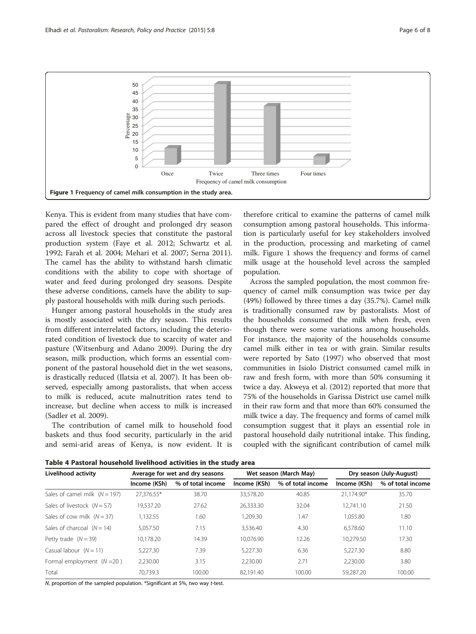<span id="page-5-0"></span>

Kenya. This is evident from many studies that have compared the effect of drought and prolonged dry season across all livestock species that constitute the pastoral production system (Faye et al. [2012;](#page-7-0) Schwartz et al. [1992](#page-7-0); Farah et al. [2004;](#page-7-0) Mehari et al. [2007;](#page-7-0) Serna [2011](#page-7-0)). The camel has the ability to withstand harsh climatic conditions with the ability to cope with shortage of water and feed during prolonged dry seasons. Despite these adverse conditions, camels have the ability to supply pastoral households with milk during such periods.

Hunger among pastoral households in the study area is mostly associated with the dry season. This results from different interrelated factors, including the deteriorated condition of livestock due to scarcity of water and pasture (Witsenburg and Adano [2009](#page-7-0)). During the dry season, milk production, which forms an essential component of the pastoral household diet in the wet seasons, is drastically reduced (Ilatsia et al. [2007](#page-7-0)). It has been observed, especially among pastoralists, that when access to milk is reduced, acute malnutrition rates tend to increase, but decline when access to milk is increased (Sadler et al. [2009](#page-7-0)).

The contribution of camel milk to household food baskets and thus food security, particularly in the arid and semi-arid areas of Kenya, is now evident. It is

therefore critical to examine the patterns of camel milk consumption among pastoral households. This information is particularly useful for key stakeholders involved in the production, processing and marketing of camel milk. Figure 1 shows the frequency and forms of camel milk usage at the household level across the sampled population.

Across the sampled population, the most common frequency of camel milk consumption was twice per day (49%) followed by three times a day (35.7%). Camel milk is traditionally consumed raw by pastoralists. Most of the households consumed the milk when fresh, even though there were some variations among households. For instance, the majority of the households consume camel milk either in tea or with grain. Similar results were reported by Sato ([1997](#page-7-0)) who observed that most communities in Isiolo District consumed camel milk in raw and fresh form, with more than 50% consuming it twice a day. Akweya et al. ([2012](#page-7-0)) reported that more that 75% of the households in Garissa District use camel milk in their raw form and that more than 60% consumed the milk twice a day. The frequency and forms of camel milk consumption suggest that it plays an essential role in pastoral household daily nutritional intake. This finding, coupled with the significant contribution of camel milk

Table 4 Pastoral household livelihood activities in the study area

| Livelihood activity             |              | Average for wet and dry seasons |              | Wet season (March May) | Dry season (July-August) |                   |
|---------------------------------|--------------|---------------------------------|--------------|------------------------|--------------------------|-------------------|
|                                 | Income (KSh) | % of total income               | Income (KSh) | % of total income      | Income (KSh)             | % of total income |
| Sales of camel milk $(N = 197)$ | 27.376.55*   | 38.70                           | 33.578.20    | 40.85                  | 21.174.90*               | 35.70             |
| Sales of livestock $(N = 57)$   | 19.537.20    | 27.62                           | 26,333.30    | 32.04                  | 12.741.10                | 21.50             |
| Sales of cow milk $(N = 37)$    | 1,132.55     | 1.60                            | 1.209.30     | 1.47                   | 1,055.80                 | 1.80              |
| Sales of charcoal $(N = 14)$    | 5.057.50     | 7.15                            | 3.536.40     | 4.30                   | 6.578.60                 | 11.10             |
| Petty trade $(N = 39)$          | 10,178.20    | 14.39                           | 10.076.90    | 12.26                  | 10,279.50                | 17.30             |
| Casual labour $(N = 11)$        | 5.227.30     | 7.39                            | 5.227.30     | 6.36                   | 5.227.30                 | 8.80              |
| Formal employment $(N=20)$      | 2,230.00     | 3.15                            | 2.230.00     | 2.71                   | 2.230.00                 | 3.80              |
| Total                           | 70,739.3     | 100.00                          | 82,191.40    | 100.00                 | 59,287.20                | 100.00            |

N, proportion of the sampled population. \*Significant at 5%, two way t-test.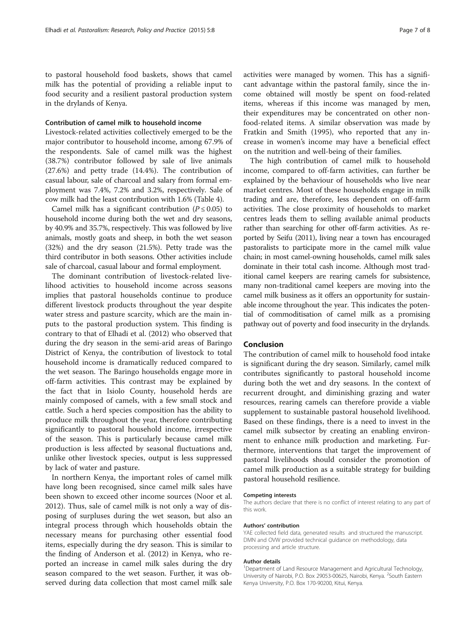to pastoral household food baskets, shows that camel milk has the potential of providing a reliable input to food security and a resilient pastoral production system in the drylands of Kenya.

#### Contribution of camel milk to household income

Livestock-related activities collectively emerged to be the major contributor to household income, among 67.9% of the respondents. Sale of camel milk was the highest (38.7%) contributor followed by sale of live animals (27.6%) and petty trade (14.4%). The contribution of casual labour, sale of charcoal and salary from formal employment was 7.4%, 7.2% and 3.2%, respectively. Sale of cow milk had the least contribution with 1.6% (Table [4](#page-5-0)).

Camel milk has a significant contribution ( $P \le 0.05$ ) to household income during both the wet and dry seasons, by 40.9% and 35.7%, respectively. This was followed by live animals, mostly goats and sheep, in both the wet season (32%) and the dry season (21.5%). Petty trade was the third contributor in both seasons. Other activities include sale of charcoal, casual labour and formal employment.

The dominant contribution of livestock-related livelihood activities to household income across seasons implies that pastoral households continue to produce different livestock products throughout the year despite water stress and pasture scarcity, which are the main inputs to the pastoral production system. This finding is contrary to that of Elhadi et al. [\(2012\)](#page-7-0) who observed that during the dry season in the semi-arid areas of Baringo District of Kenya, the contribution of livestock to total household income is dramatically reduced compared to the wet season. The Baringo households engage more in off-farm activities. This contrast may be explained by the fact that in Isiolo County, household herds are mainly composed of camels, with a few small stock and cattle. Such a herd species composition has the ability to produce milk throughout the year, therefore contributing significantly to pastoral household income, irrespective of the season. This is particularly because camel milk production is less affected by seasonal fluctuations and, unlike other livestock species, output is less suppressed by lack of water and pasture.

In northern Kenya, the important roles of camel milk have long been recognised, since camel milk sales have been shown to exceed other income sources (Noor et al. [2012](#page-7-0)). Thus, sale of camel milk is not only a way of disposing of surpluses during the wet season, but also an integral process through which households obtain the necessary means for purchasing other essential food items, especially during the dry season. This is similar to the finding of Anderson et al. [\(2012](#page-7-0)) in Kenya, who reported an increase in camel milk sales during the dry season compared to the wet season. Further, it was observed during data collection that most camel milk sale

activities were managed by women. This has a significant advantage within the pastoral family, since the income obtained will mostly be spent on food-related items, whereas if this income was managed by men, their expenditures may be concentrated on other nonfood-related items. A similar observation was made by Fratkin and Smith ([1995](#page-7-0)), who reported that any increase in women's income may have a beneficial effect on the nutrition and well-being of their families.

The high contribution of camel milk to household income, compared to off-farm activities, can further be explained by the behaviour of households who live near market centres. Most of these households engage in milk trading and are, therefore, less dependent on off-farm activities. The close proximity of households to market centres leads them to selling available animal products rather than searching for other off-farm activities. As reported by Seifu [\(2011](#page-7-0)), living near a town has encouraged pastoralists to participate more in the camel milk value chain; in most camel-owning households, camel milk sales dominate in their total cash income. Although most traditional camel keepers are rearing camels for subsistence, many non-traditional camel keepers are moving into the camel milk business as it offers an opportunity for sustainable income throughout the year. This indicates the potential of commoditisation of camel milk as a promising pathway out of poverty and food insecurity in the drylands.

#### Conclusion

The contribution of camel milk to household food intake is significant during the dry season. Similarly, camel milk contributes significantly to pastoral household income during both the wet and dry seasons. In the context of recurrent drought, and diminishing grazing and water resources, rearing camels can therefore provide a viable supplement to sustainable pastoral household livelihood. Based on these findings, there is a need to invest in the camel milk subsector by creating an enabling environment to enhance milk production and marketing. Furthermore, interventions that target the improvement of pastoral livelihoods should consider the promotion of camel milk production as a suitable strategy for building pastoral household resilience.

#### Competing interests

The authors declare that there is no conflict of interest relating to any part of this work.

#### Authors' contribution

YAE collected field data, generated results and structured the manuscript. DMN and OVW provided technical guidance on methodology, data processing and article structure.

#### Author details

<sup>1</sup>Department of Land Resource Management and Agricultural Technology, University of Nairobi, P.O. Box 29053-00625, Nairobi, Kenya. <sup>2</sup>South Eastern Kenya University, P.O. Box 170-90200, Kitui, Kenya.